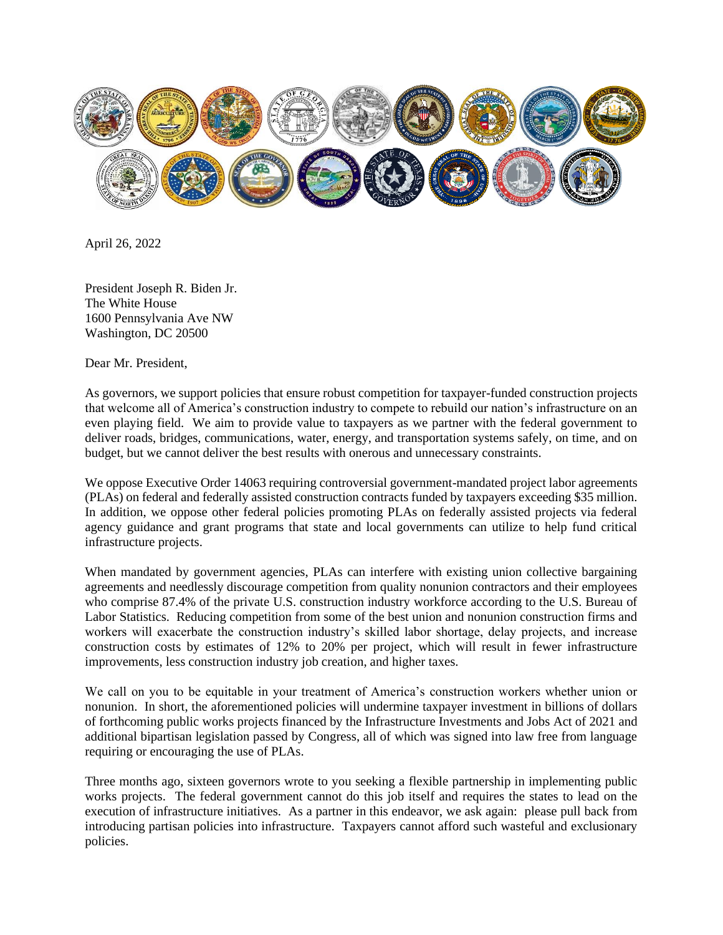

April 26, 2022

President Joseph R. Biden Jr. The White House 1600 Pennsylvania Ave NW Washington, DC 20500

Dear Mr. President,

As governors, we support policies that ensure robust competition for taxpayer-funded construction projects that welcome all of America's construction industry to compete to rebuild our nation's infrastructure on an even playing field. We aim to provide value to taxpayers as we partner with the federal government to deliver roads, bridges, communications, water, energy, and transportation systems safely, on time, and on budget, but we cannot deliver the best results with onerous and unnecessary constraints.

We oppose Executive Order 14063 requiring controversial government-mandated project labor agreements (PLAs) on federal and federally assisted construction contracts funded by taxpayers exceeding \$35 million. In addition, we oppose other federal policies promoting PLAs on federally assisted projects via federal agency guidance and grant programs that state and local governments can utilize to help fund critical infrastructure projects.

When mandated by government agencies, PLAs can interfere with existing union collective bargaining agreements and needlessly discourage competition from quality nonunion contractors and their employees who comprise 87.4% of the private U.S. construction industry workforce according to the U.S. Bureau of Labor Statistics. Reducing competition from some of the best union and nonunion construction firms and workers will exacerbate the construction industry's skilled labor shortage, delay projects, and increase construction costs by estimates of 12% to 20% per project, which will result in fewer infrastructure improvements, less construction industry job creation, and higher taxes.

We call on you to be equitable in your treatment of America's construction workers whether union or nonunion. In short, the aforementioned policies will undermine taxpayer investment in billions of dollars of forthcoming public works projects financed by the Infrastructure Investments and Jobs Act of 2021 and additional bipartisan legislation passed by Congress, all of which was signed into law free from language requiring or encouraging the use of PLAs.

Three months ago, sixteen governors wrote to you seeking a flexible partnership in implementing public works projects. The federal government cannot do this job itself and requires the states to lead on the execution of infrastructure initiatives. As a partner in this endeavor, we ask again: please pull back from introducing partisan policies into infrastructure. Taxpayers cannot afford such wasteful and exclusionary policies.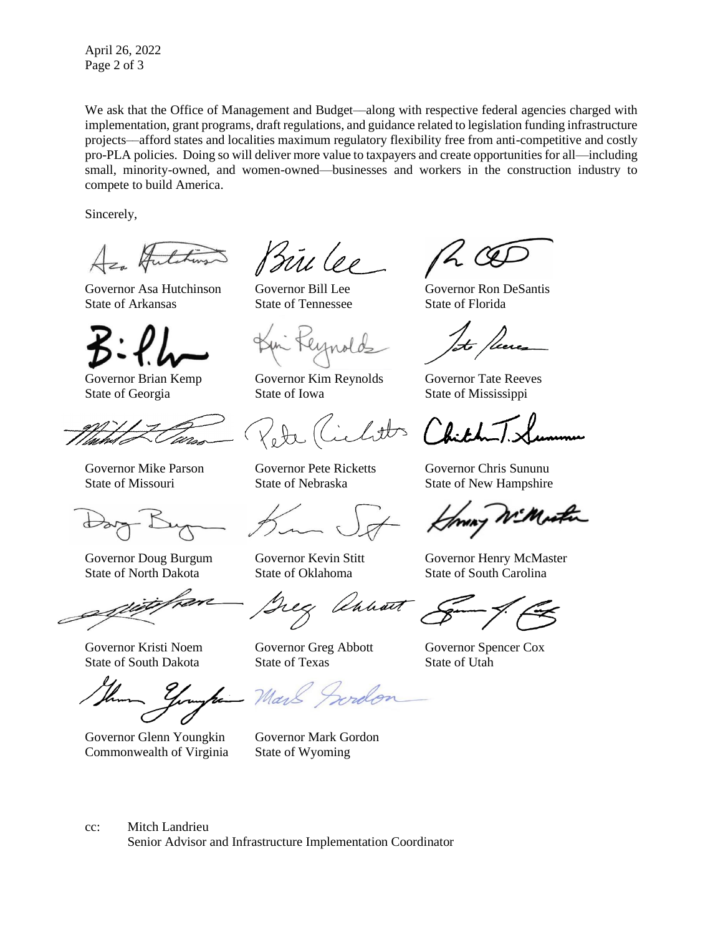April 26, 2022 Page 2 of 3

We ask that the Office of Management and Budget—along with respective federal agencies charged with implementation, grant programs, draft regulations, and guidance related to legislation funding infrastructure projects––afford states and localities maximum regulatory flexibility free from anti-competitive and costly pro-PLA policies. Doing so will deliver more value to taxpayers and create opportunities for all—including small, minority-owned, and women-owned—businesses and workers in the construction industry to compete to build America.

Sincerely,

Governor Asa Hutchinson Governor Bill Lee Governor Ron DeSantis State of Arkansas State of Tennessee State of Florida



State of North Dakota State of Oklahoma State of South Carolina

Governor Glenn Youngkin Governor Mark Gordon Commonwealth of Virginia State of Wyoming

Prince

Governor Brian Kemp Governor Kim Reynolds Governor Tate Reeves State of Georgia State of Iowa State of Mississippi

Unhan

State of South Dakota State of Texas State of Utah

 $\mathcal{U}_{\mathcal{U}}$ 

Governor Mike Parson Governor Pete Ricketts Governor Chris Sununu State of Missouri State of Nebraska State of New Hampshire

Governor Doug Burgum Governor Kevin Stitt Governor Henry McMaster

Governor Kristi Noem Governor Greg Abbott Governor Spencer Cox

cc: Mitch Landrieu

Senior Advisor and Infrastructure Implementation Coordinator